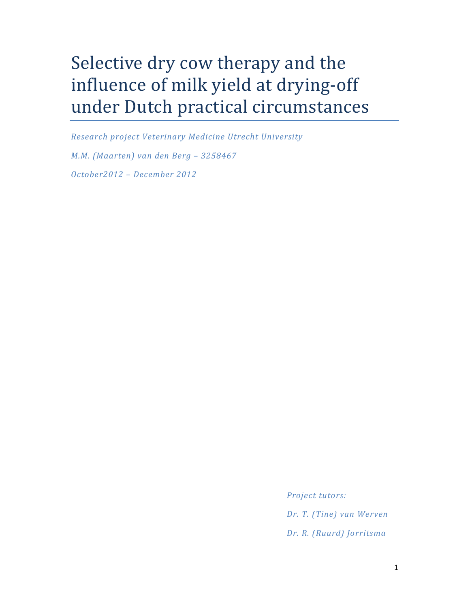# Selective dry cow therapy and the influence of milk yield at drying-off under Dutch practical circumstances

Research project Veterinary Medicine Utrecht University M.M. (Maarten) van den Berg – 3258467 October2012 – December 2012

> Project tutors: Dr. T. (Tine) van Werven Dr. R. (Ruurd) Jorritsma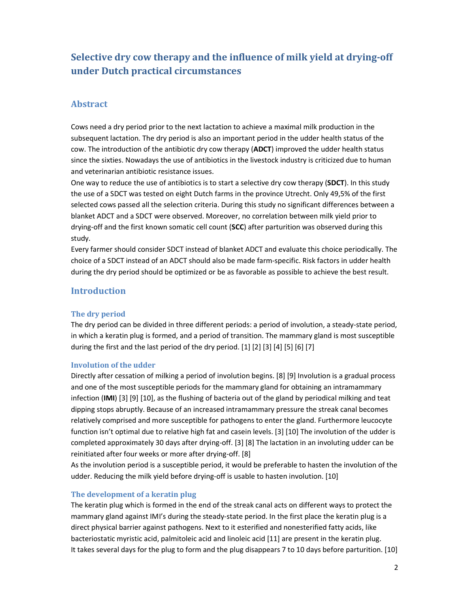# Selective dry cow therapy and the influence of milk yield at drying-off under Dutch practical circumstances

# Abstract

Cows need a dry period prior to the next lactation to achieve a maximal milk production in the subsequent lactation. The dry period is also an important period in the udder health status of the cow. The introduction of the antibiotic dry cow therapy (ADCT) improved the udder health status since the sixties. Nowadays the use of antibiotics in the livestock industry is criticized due to human and veterinarian antibiotic resistance issues.

One way to reduce the use of antibiotics is to start a selective dry cow therapy (SDCT). In this study the use of a SDCT was tested on eight Dutch farms in the province Utrecht. Only 49,5% of the first selected cows passed all the selection criteria. During this study no significant differences between a blanket ADCT and a SDCT were observed. Moreover, no correlation between milk yield prior to drying-off and the first known somatic cell count (SCC) after parturition was observed during this study.

Every farmer should consider SDCT instead of blanket ADCT and evaluate this choice periodically. The choice of a SDCT instead of an ADCT should also be made farm-specific. Risk factors in udder health during the dry period should be optimized or be as favorable as possible to achieve the best result.

# Introduction

# The dry period

The dry period can be divided in three different periods: a period of involution, a steady-state period, in which a keratin plug is formed, and a period of transition. The mammary gland is most susceptible during the first and the last period of the dry period. [1] [2] [3] [4] [5] [6] [7]

# Involution of the udder

Directly after cessation of milking a period of involution begins. [8] [9] Involution is a gradual process and one of the most susceptible periods for the mammary gland for obtaining an intramammary infection (IMI) [3] [9] [10], as the flushing of bacteria out of the gland by periodical milking and teat dipping stops abruptly. Because of an increased intramammary pressure the streak canal becomes relatively comprised and more susceptible for pathogens to enter the gland. Furthermore leucocyte function isn't optimal due to relative high fat and casein levels. [3] [10] The involution of the udder is completed approximately 30 days after drying-off. [3] [8] The lactation in an involuting udder can be reinitiated after four weeks or more after drying-off. [8]

As the involution period is a susceptible period, it would be preferable to hasten the involution of the udder. Reducing the milk yield before drying-off is usable to hasten involution. [10]

# The development of a keratin plug

The keratin plug which is formed in the end of the streak canal acts on different ways to protect the mammary gland against IMI's during the steady-state period. In the first place the keratin plug is a direct physical barrier against pathogens. Next to it esterified and nonesterified fatty acids, like bacteriostatic myristic acid, palmitoleic acid and linoleic acid [11] are present in the keratin plug. It takes several days for the plug to form and the plug disappears 7 to 10 days before parturition. [10]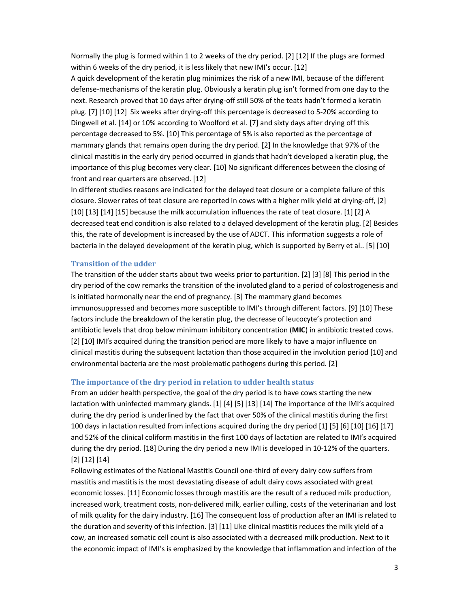Normally the plug is formed within 1 to 2 weeks of the dry period. [2] [12] If the plugs are formed within 6 weeks of the dry period, it is less likely that new IMI's occur. [12]

A quick development of the keratin plug minimizes the risk of a new IMI, because of the different defense-mechanisms of the keratin plug. Obviously a keratin plug isn't formed from one day to the next. Research proved that 10 days after drying-off still 50% of the teats hadn't formed a keratin plug. [7] [10] [12] Six weeks after drying-off this percentage is decreased to 5-20% according to Dingwell et al. [14] or 10% according to Woolford et al. [7] and sixty days after drying off this percentage decreased to 5%. [10] This percentage of 5% is also reported as the percentage of mammary glands that remains open during the dry period. [2] In the knowledge that 97% of the clinical mastitis in the early dry period occurred in glands that hadn't developed a keratin plug, the importance of this plug becomes very clear. [10] No significant differences between the closing of front and rear quarters are observed. [12]

In different studies reasons are indicated for the delayed teat closure or a complete failure of this closure. Slower rates of teat closure are reported in cows with a higher milk yield at drying-off, [2] [10] [13] [14] [15] because the milk accumulation influences the rate of teat closure. [1] [2] A decreased teat end condition is also related to a delayed development of the keratin plug. [2] Besides this, the rate of development is increased by the use of ADCT. This information suggests a role of bacteria in the delayed development of the keratin plug, which is supported by Berry et al.. [5] [10]

### Transition of the udder

The transition of the udder starts about two weeks prior to parturition. [2] [3] [8] This period in the dry period of the cow remarks the transition of the involuted gland to a period of colostrogenesis and is initiated hormonally near the end of pregnancy. [3] The mammary gland becomes immunosuppressed and becomes more susceptible to IMI's through different factors. [9] [10] These factors include the breakdown of the keratin plug, the decrease of leucocyte's protection and antibiotic levels that drop below minimum inhibitory concentration (MIC) in antibiotic treated cows. [2] [10] IMI's acquired during the transition period are more likely to have a major influence on clinical mastitis during the subsequent lactation than those acquired in the involution period [10] and environmental bacteria are the most problematic pathogens during this period. [2]

#### The importance of the dry period in relation to udder health status

From an udder health perspective, the goal of the dry period is to have cows starting the new lactation with uninfected mammary glands. [1] [4] [5] [13] [14] The importance of the IMI's acquired during the dry period is underlined by the fact that over 50% of the clinical mastitis during the first 100 days in lactation resulted from infections acquired during the dry period [1] [5] [6] [10] [16] [17] and 52% of the clinical coliform mastitis in the first 100 days of lactation are related to IMI's acquired during the dry period. [18] During the dry period a new IMI is developed in 10-12% of the quarters. [2] [12] [14]

Following estimates of the National Mastitis Council one-third of every dairy cow suffers from mastitis and mastitis is the most devastating disease of adult dairy cows associated with great economic losses. [11] Economic losses through mastitis are the result of a reduced milk production, increased work, treatment costs, non-delivered milk, earlier culling, costs of the veterinarian and lost of milk quality for the dairy industry. [16] The consequent loss of production after an IMI is related to the duration and severity of this infection. [3] [11] Like clinical mastitis reduces the milk yield of a cow, an increased somatic cell count is also associated with a decreased milk production. Next to it the economic impact of IMI's is emphasized by the knowledge that inflammation and infection of the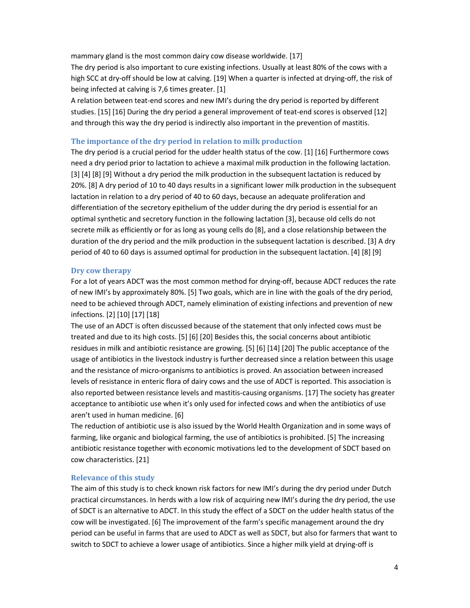mammary gland is the most common dairy cow disease worldwide. [17]

The dry period is also important to cure existing infections. Usually at least 80% of the cows with a high SCC at dry-off should be low at calving. [19] When a quarter is infected at drying-off, the risk of being infected at calving is 7,6 times greater. [1]

A relation between teat-end scores and new IMI's during the dry period is reported by different studies. [15] [16] During the dry period a general improvement of teat-end scores is observed [12] and through this way the dry period is indirectly also important in the prevention of mastitis.

## The importance of the dry period in relation to milk production

The dry period is a crucial period for the udder health status of the cow. [1] [16] Furthermore cows need a dry period prior to lactation to achieve a maximal milk production in the following lactation. [3] [4] [8] [9] Without a dry period the milk production in the subsequent lactation is reduced by 20%. [8] A dry period of 10 to 40 days results in a significant lower milk production in the subsequent lactation in relation to a dry period of 40 to 60 days, because an adequate proliferation and differentiation of the secretory epithelium of the udder during the dry period is essential for an optimal synthetic and secretory function in the following lactation [3], because old cells do not secrete milk as efficiently or for as long as young cells do [8], and a close relationship between the duration of the dry period and the milk production in the subsequent lactation is described. [3] A dry period of 40 to 60 days is assumed optimal for production in the subsequent lactation. [4] [8] [9]

#### Dry cow therapy

For a lot of years ADCT was the most common method for drying-off, because ADCT reduces the rate of new IMI's by approximately 80%. [5] Two goals, which are in line with the goals of the dry period, need to be achieved through ADCT, namely elimination of existing infections and prevention of new infections. [2] [10] [17] [18]

The use of an ADCT is often discussed because of the statement that only infected cows must be treated and due to its high costs. [5] [6] [20] Besides this, the social concerns about antibiotic residues in milk and antibiotic resistance are growing. [5] [6] [14] [20] The public acceptance of the usage of antibiotics in the livestock industry is further decreased since a relation between this usage and the resistance of micro-organisms to antibiotics is proved. An association between increased levels of resistance in enteric flora of dairy cows and the use of ADCT is reported. This association is also reported between resistance levels and mastitis-causing organisms. [17] The society has greater acceptance to antibiotic use when it's only used for infected cows and when the antibiotics of use aren't used in human medicine. [6]

The reduction of antibiotic use is also issued by the World Health Organization and in some ways of farming, like organic and biological farming, the use of antibiotics is prohibited. [5] The increasing antibiotic resistance together with economic motivations led to the development of SDCT based on cow characteristics. [21]

#### Relevance of this study

The aim of this study is to check known risk factors for new IMI's during the dry period under Dutch practical circumstances. In herds with a low risk of acquiring new IMI's during the dry period, the use of SDCT is an alternative to ADCT. In this study the effect of a SDCT on the udder health status of the cow will be investigated. [6] The improvement of the farm's specific management around the dry period can be useful in farms that are used to ADCT as well as SDCT, but also for farmers that want to switch to SDCT to achieve a lower usage of antibiotics. Since a higher milk yield at drying-off is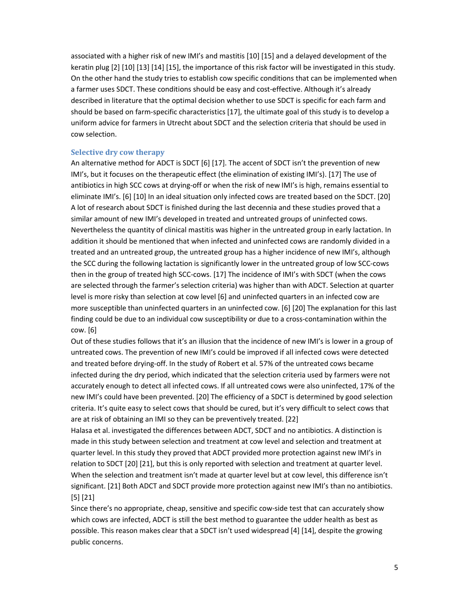associated with a higher risk of new IMI's and mastitis [10] [15] and a delayed development of the keratin plug [2] [10] [13] [14] [15], the importance of this risk factor will be investigated in this study. On the other hand the study tries to establish cow specific conditions that can be implemented when a farmer uses SDCT. These conditions should be easy and cost-effective. Although it's already described in literature that the optimal decision whether to use SDCT is specific for each farm and should be based on farm-specific characteristics [17], the ultimate goal of this study is to develop a uniform advice for farmers in Utrecht about SDCT and the selection criteria that should be used in cow selection.

## Selective dry cow therapy

An alternative method for ADCT is SDCT [6] [17]. The accent of SDCT isn't the prevention of new IMI's, but it focuses on the therapeutic effect (the elimination of existing IMI's). [17] The use of antibiotics in high SCC cows at drying-off or when the risk of new IMI's is high, remains essential to eliminate IMI's. [6] [10] In an ideal situation only infected cows are treated based on the SDCT. [20] A lot of research about SDCT is finished during the last decennia and these studies proved that a similar amount of new IMI's developed in treated and untreated groups of uninfected cows. Nevertheless the quantity of clinical mastitis was higher in the untreated group in early lactation. In addition it should be mentioned that when infected and uninfected cows are randomly divided in a treated and an untreated group, the untreated group has a higher incidence of new IMI's, although the SCC during the following lactation is significantly lower in the untreated group of low SCC-cows then in the group of treated high SCC-cows. [17] The incidence of IMI's with SDCT (when the cows are selected through the farmer's selection criteria) was higher than with ADCT. Selection at quarter level is more risky than selection at cow level [6] and uninfected quarters in an infected cow are more susceptible than uninfected quarters in an uninfected cow. [6] [20] The explanation for this last finding could be due to an individual cow susceptibility or due to a cross-contamination within the cow. [6]

Out of these studies follows that it's an illusion that the incidence of new IMI's is lower in a group of untreated cows. The prevention of new IMI's could be improved if all infected cows were detected and treated before drying-off. In the study of Robert et al. 57% of the untreated cows became infected during the dry period, which indicated that the selection criteria used by farmers were not accurately enough to detect all infected cows. If all untreated cows were also uninfected, 17% of the new IMI's could have been prevented. [20] The efficiency of a SDCT is determined by good selection criteria. It's quite easy to select cows that should be cured, but it's very difficult to select cows that are at risk of obtaining an IMI so they can be preventively treated. [22]

Halasa et al. investigated the differences between ADCT, SDCT and no antibiotics. A distinction is made in this study between selection and treatment at cow level and selection and treatment at quarter level. In this study they proved that ADCT provided more protection against new IMI's in relation to SDCT [20] [21], but this is only reported with selection and treatment at quarter level. When the selection and treatment isn't made at quarter level but at cow level, this difference isn't significant. [21] Both ADCT and SDCT provide more protection against new IMI's than no antibiotics. [5] [21]

Since there's no appropriate, cheap, sensitive and specific cow-side test that can accurately show which cows are infected, ADCT is still the best method to guarantee the udder health as best as possible. This reason makes clear that a SDCT isn't used widespread [4] [14], despite the growing public concerns.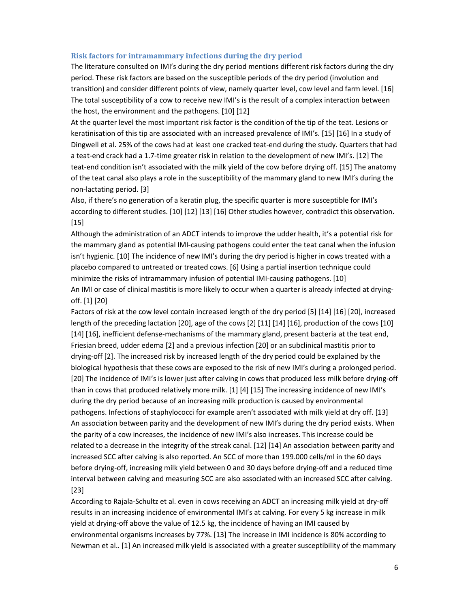#### Risk factors for intramammary infections during the dry period

The literature consulted on IMI's during the dry period mentions different risk factors during the dry period. These risk factors are based on the susceptible periods of the dry period (involution and transition) and consider different points of view, namely quarter level, cow level and farm level. [16] The total susceptibility of a cow to receive new IMI's is the result of a complex interaction between the host, the environment and the pathogens. [10] [12]

At the quarter level the most important risk factor is the condition of the tip of the teat. Lesions or keratinisation of this tip are associated with an increased prevalence of IMI's. [15] [16] In a study of Dingwell et al. 25% of the cows had at least one cracked teat-end during the study. Quarters that had a teat-end crack had a 1.7-time greater risk in relation to the development of new IMI's. [12] The teat-end condition isn't associated with the milk yield of the cow before drying off. [15] The anatomy of the teat canal also plays a role in the susceptibility of the mammary gland to new IMI's during the non-lactating period. [3]

Also, if there's no generation of a keratin plug, the specific quarter is more susceptible for IMI's according to different studies. [10] [12] [13] [16] Other studies however, contradict this observation. [15]

Although the administration of an ADCT intends to improve the udder health, it's a potential risk for the mammary gland as potential IMI-causing pathogens could enter the teat canal when the infusion isn't hygienic. [10] The incidence of new IMI's during the dry period is higher in cows treated with a placebo compared to untreated or treated cows. [6] Using a partial insertion technique could minimize the risks of intramammary infusion of potential IMI-causing pathogens. [10] An IMI or case of clinical mastitis is more likely to occur when a quarter is already infected at dryingoff. [1] [20]

Factors of risk at the cow level contain increased length of the dry period [5] [14] [16] [20], increased length of the preceding lactation [20], age of the cows [2] [11] [14] [16], production of the cows [10] [14] [16], inefficient defense-mechanisms of the mammary gland, present bacteria at the teat end, Friesian breed, udder edema [2] and a previous infection [20] or an subclinical mastitis prior to drying-off [2]. The increased risk by increased length of the dry period could be explained by the biological hypothesis that these cows are exposed to the risk of new IMI's during a prolonged period. [20] The incidence of IMI's is lower just after calving in cows that produced less milk before drying-off than in cows that produced relatively more milk. [1] [4] [15] The increasing incidence of new IMI's during the dry period because of an increasing milk production is caused by environmental pathogens. Infections of staphylococci for example aren't associated with milk yield at dry off. [13] An association between parity and the development of new IMI's during the dry period exists. When the parity of a cow increases, the incidence of new IMI's also increases. This increase could be related to a decrease in the integrity of the streak canal. [12] [14] An association between parity and increased SCC after calving is also reported. An SCC of more than 199.000 cells/ml in the 60 days before drying-off, increasing milk yield between 0 and 30 days before drying-off and a reduced time interval between calving and measuring SCC are also associated with an increased SCC after calving. [23]

According to Rajala-Schultz et al. even in cows receiving an ADCT an increasing milk yield at dry-off results in an increasing incidence of environmental IMI's at calving. For every 5 kg increase in milk yield at drying-off above the value of 12.5 kg, the incidence of having an IMI caused by environmental organisms increases by 77%. [13] The increase in IMI incidence is 80% according to Newman et al.. [1] An increased milk yield is associated with a greater susceptibility of the mammary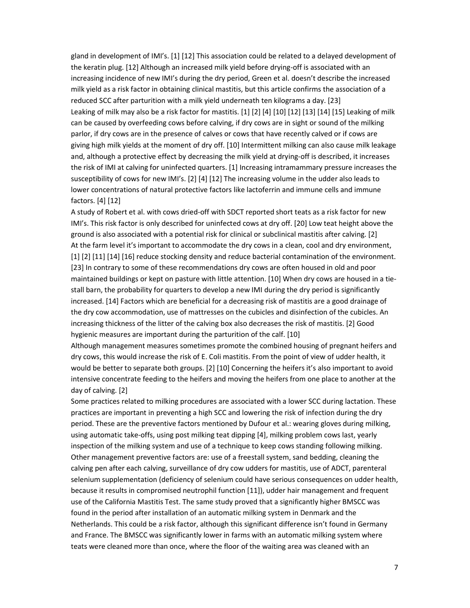gland in development of IMI's. [1] [12] This association could be related to a delayed development of the keratin plug. [12] Although an increased milk yield before drying-off is associated with an increasing incidence of new IMI's during the dry period, Green et al. doesn't describe the increased milk yield as a risk factor in obtaining clinical mastitis, but this article confirms the association of a reduced SCC after parturition with a milk yield underneath ten kilograms a day. [23] Leaking of milk may also be a risk factor for mastitis. [1] [2] [4] [10] [12] [13] [14] [15] Leaking of milk can be caused by overfeeding cows before calving, if dry cows are in sight or sound of the milking parlor, if dry cows are in the presence of calves or cows that have recently calved or if cows are giving high milk yields at the moment of dry off. [10] Intermittent milking can also cause milk leakage and, although a protective effect by decreasing the milk yield at drying-off is described, it increases the risk of IMI at calving for uninfected quarters. [1] Increasing intramammary pressure increases the susceptibility of cows for new IMI's. [2] [4] [12] The increasing volume in the udder also leads to lower concentrations of natural protective factors like lactoferrin and immune cells and immune factors. [4] [12]

A study of Robert et al. with cows dried-off with SDCT reported short teats as a risk factor for new IMI's. This risk factor is only described for uninfected cows at dry off. [20] Low teat height above the ground is also associated with a potential risk for clinical or subclinical mastitis after calving. [2] At the farm level it's important to accommodate the dry cows in a clean, cool and dry environment, [1] [2] [11] [14] [16] reduce stocking density and reduce bacterial contamination of the environment. [23] In contrary to some of these recommendations dry cows are often housed in old and poor maintained buildings or kept on pasture with little attention. [10] When dry cows are housed in a tiestall barn, the probability for quarters to develop a new IMI during the dry period is significantly increased. [14] Factors which are beneficial for a decreasing risk of mastitis are a good drainage of the dry cow accommodation, use of mattresses on the cubicles and disinfection of the cubicles. An increasing thickness of the litter of the calving box also decreases the risk of mastitis. [2] Good hygienic measures are important during the parturition of the calf. [10]

Although management measures sometimes promote the combined housing of pregnant heifers and dry cows, this would increase the risk of E. Coli mastitis. From the point of view of udder health, it would be better to separate both groups. [2] [10] Concerning the heifers it's also important to avoid intensive concentrate feeding to the heifers and moving the heifers from one place to another at the day of calving. [2]

Some practices related to milking procedures are associated with a lower SCC during lactation. These practices are important in preventing a high SCC and lowering the risk of infection during the dry period. These are the preventive factors mentioned by Dufour et al.: wearing gloves during milking, using automatic take-offs, using post milking teat dipping [4], milking problem cows last, yearly inspection of the milking system and use of a technique to keep cows standing following milking. Other management preventive factors are: use of a freestall system, sand bedding, cleaning the calving pen after each calving, surveillance of dry cow udders for mastitis, use of ADCT, parenteral selenium supplementation (deficiency of selenium could have serious consequences on udder health, because it results in compromised neutrophil function [11]), udder hair management and frequent use of the California Mastitis Test. The same study proved that a significantly higher BMSCC was found in the period after installation of an automatic milking system in Denmark and the Netherlands. This could be a risk factor, although this significant difference isn't found in Germany and France. The BMSCC was significantly lower in farms with an automatic milking system where teats were cleaned more than once, where the floor of the waiting area was cleaned with an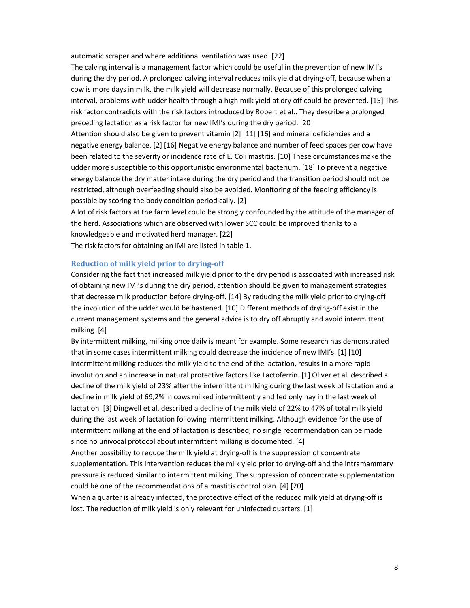automatic scraper and where additional ventilation was used. [22]

The calving interval is a management factor which could be useful in the prevention of new IMI's during the dry period. A prolonged calving interval reduces milk yield at drying-off, because when a cow is more days in milk, the milk yield will decrease normally. Because of this prolonged calving interval, problems with udder health through a high milk yield at dry off could be prevented. [15] This risk factor contradicts with the risk factors introduced by Robert et al.. They describe a prolonged preceding lactation as a risk factor for new IMI's during the dry period. [20] Attention should also be given to prevent vitamin [2] [11] [16] and mineral deficiencies and a negative energy balance. [2] [16] Negative energy balance and number of feed spaces per cow have been related to the severity or incidence rate of E. Coli mastitis. [10] These circumstances make the

udder more susceptible to this opportunistic environmental bacterium. [18] To prevent a negative energy balance the dry matter intake during the dry period and the transition period should not be restricted, although overfeeding should also be avoided. Monitoring of the feeding efficiency is possible by scoring the body condition periodically. [2]

A lot of risk factors at the farm level could be strongly confounded by the attitude of the manager of the herd. Associations which are observed with lower SCC could be improved thanks to a knowledgeable and motivated herd manager. [22]

The risk factors for obtaining an IMI are listed in table 1.

## Reduction of milk yield prior to drying-off

Considering the fact that increased milk yield prior to the dry period is associated with increased risk of obtaining new IMI's during the dry period, attention should be given to management strategies that decrease milk production before drying-off. [14] By reducing the milk yield prior to drying-off the involution of the udder would be hastened. [10] Different methods of drying-off exist in the current management systems and the general advice is to dry off abruptly and avoid intermittent milking. [4]

By intermittent milking, milking once daily is meant for example. Some research has demonstrated that in some cases intermittent milking could decrease the incidence of new IMI's. [1] [10] Intermittent milking reduces the milk yield to the end of the lactation, results in a more rapid involution and an increase in natural protective factors like Lactoferrin. [1] Oliver et al. described a decline of the milk yield of 23% after the intermittent milking during the last week of lactation and a decline in milk yield of 69,2% in cows milked intermittently and fed only hay in the last week of lactation. [3] Dingwell et al. described a decline of the milk yield of 22% to 47% of total milk yield during the last week of lactation following intermittent milking. Although evidence for the use of intermittent milking at the end of lactation is described, no single recommendation can be made since no univocal protocol about intermittent milking is documented. [4]

Another possibility to reduce the milk yield at drying-off is the suppression of concentrate supplementation. This intervention reduces the milk yield prior to drying-off and the intramammary pressure is reduced similar to intermittent milking. The suppression of concentrate supplementation could be one of the recommendations of a mastitis control plan. [4] [20]

When a quarter is already infected, the protective effect of the reduced milk yield at drying-off is lost. The reduction of milk yield is only relevant for uninfected quarters. [1]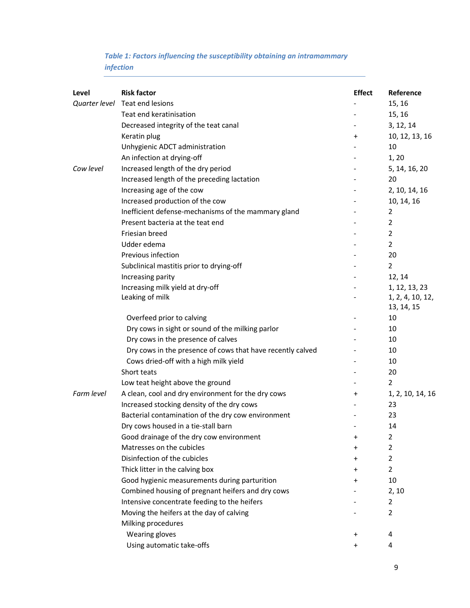# Table 1: Factors influencing the susceptibility obtaining an intramammary infection

| Level         | <b>Risk factor</b>                                         | <b>Effect</b> | Reference        |
|---------------|------------------------------------------------------------|---------------|------------------|
| Quarter level | Teat end lesions                                           |               | 15, 16           |
|               | Teat end keratinisation                                    |               | 15, 16           |
|               | Decreased integrity of the teat canal                      |               | 3, 12, 14        |
|               | Keratin plug                                               | $\pmb{+}$     | 10, 12, 13, 16   |
|               | Unhygienic ADCT administration                             |               | 10               |
|               | An infection at drying-off                                 |               | 1,20             |
| Cow level     | Increased length of the dry period                         |               | 5, 14, 16, 20    |
|               | Increased length of the preceding lactation                |               | 20               |
|               | Increasing age of the cow                                  |               | 2, 10, 14, 16    |
|               | Increased production of the cow                            |               | 10, 14, 16       |
|               | Inefficient defense-mechanisms of the mammary gland        |               | 2                |
|               | Present bacteria at the teat end                           |               | $\overline{2}$   |
|               | Friesian breed                                             |               | 2                |
|               | Udder edema                                                |               | $\overline{2}$   |
|               | Previous infection                                         |               | 20               |
|               | Subclinical mastitis prior to drying-off                   |               | $\overline{2}$   |
|               | Increasing parity                                          |               | 12, 14           |
|               | Increasing milk yield at dry-off                           |               | 1, 12, 13, 23    |
|               | Leaking of milk                                            |               | 1, 2, 4, 10, 12, |
|               |                                                            |               | 13, 14, 15       |
|               | Overfeed prior to calving                                  |               | 10               |
|               | Dry cows in sight or sound of the milking parlor           |               | 10               |
|               | Dry cows in the presence of calves                         |               | 10               |
|               | Dry cows in the presence of cows that have recently calved |               | 10               |
|               | Cows dried-off with a high milk yield                      |               | 10               |
|               | Short teats                                                |               | 20               |
|               | Low teat height above the ground                           |               | $\overline{2}$   |
| Farm level    | A clean, cool and dry environment for the dry cows         | $\pmb{+}$     | 1, 2, 10, 14, 16 |
|               | Increased stocking density of the dry cows                 |               | 23               |
|               | Bacterial contamination of the dry cow environment         |               | 23               |
|               | Dry cows housed in a tie-stall barn                        |               | 14               |
|               | Good drainage of the dry cow environment                   | +             | 2                |
|               | Matresses on the cubicles                                  | +             | $\overline{2}$   |
|               | Disinfection of the cubicles                               | +             | $\overline{2}$   |
|               | Thick litter in the calving box                            | +             | $\overline{2}$   |
|               | Good hygienic measurements during parturition              | +             | 10               |
|               | Combined housing of pregnant heifers and dry cows          |               | 2, 10            |
|               | Intensive concentrate feeding to the heifers               |               | 2                |
|               | Moving the heifers at the day of calving                   |               | $\overline{2}$   |
|               | Milking procedures                                         |               |                  |
|               | <b>Wearing gloves</b>                                      | $\pmb{+}$     | 4                |
|               | Using automatic take-offs                                  | +             | 4                |
|               |                                                            |               |                  |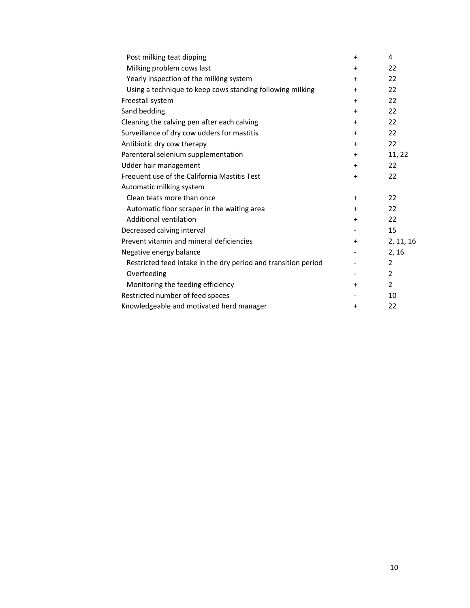| Post milking teat dipping                                      | $\ddot{}$ | 4              |
|----------------------------------------------------------------|-----------|----------------|
| Milking problem cows last                                      | $\pm$     | 22             |
| Yearly inspection of the milking system                        | $\ddot{}$ | 22             |
| Using a technique to keep cows standing following milking      | $+$       | 22             |
| Freestall system                                               | $\ddot{}$ | 22             |
| Sand bedding                                                   | $\ddot{}$ | 22             |
| Cleaning the calving pen after each calving                    | $^{+}$    | 22             |
| Surveillance of dry cow udders for mastitis                    | $\pm$     | 22             |
| Antibiotic dry cow therapy                                     | $+$       | 22             |
| Parenteral selenium supplementation                            | $\ddot{}$ | 11, 22         |
| Udder hair management                                          | $+$       | 22             |
| Frequent use of the California Mastitis Test                   | $\ddot{}$ | 22             |
| Automatic milking system                                       |           |                |
| Clean teats more than once                                     | $+$       | 22             |
| Automatic floor scraper in the waiting area                    | $\pm$     | 22             |
| Additional ventilation                                         | $\ddot{}$ | 22             |
| Decreased calving interval                                     |           | 15             |
| Prevent vitamin and mineral deficiencies                       | $\ddot{}$ | 2, 11, 16      |
| Negative energy balance                                        |           | 2, 16          |
| Restricted feed intake in the dry period and transition period |           | $\overline{2}$ |
| Overfeeding                                                    |           | $\overline{2}$ |
| Monitoring the feeding efficiency                              | $\ddot{}$ | $\overline{2}$ |
| Restricted number of feed spaces                               |           | 10             |
| Knowledgeable and motivated herd manager                       | $\ddot{}$ | 22             |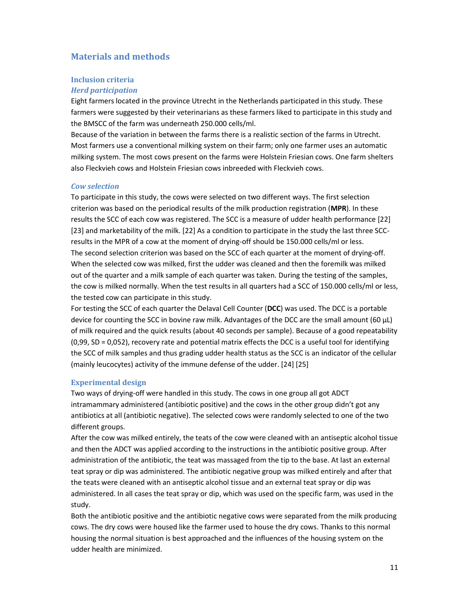# Materials and methods

## Inclusion criteria

## Herd participation

Eight farmers located in the province Utrecht in the Netherlands participated in this study. These farmers were suggested by their veterinarians as these farmers liked to participate in this study and the BMSCC of the farm was underneath 250.000 cells/ml.

Because of the variation in between the farms there is a realistic section of the farms in Utrecht. Most farmers use a conventional milking system on their farm; only one farmer uses an automatic milking system. The most cows present on the farms were Holstein Friesian cows. One farm shelters also Fleckvieh cows and Holstein Friesian cows inbreeded with Fleckvieh cows.

## Cow selection

To participate in this study, the cows were selected on two different ways. The first selection criterion was based on the periodical results of the milk production registration (MPR). In these results the SCC of each cow was registered. The SCC is a measure of udder health performance [22] [23] and marketability of the milk. [22] As a condition to participate in the study the last three SCCresults in the MPR of a cow at the moment of drying-off should be 150.000 cells/ml or less. The second selection criterion was based on the SCC of each quarter at the moment of drying-off. When the selected cow was milked, first the udder was cleaned and then the foremilk was milked out of the quarter and a milk sample of each quarter was taken. During the testing of the samples, the cow is milked normally. When the test results in all quarters had a SCC of 150.000 cells/ml or less, the tested cow can participate in this study.

For testing the SCC of each quarter the Delaval Cell Counter (DCC) was used. The DCC is a portable device for counting the SCC in bovine raw milk. Advantages of the DCC are the small amount (60 μL) of milk required and the quick results (about 40 seconds per sample). Because of a good repeatability (0,99, SD = 0,052), recovery rate and potential matrix effects the DCC is a useful tool for identifying the SCC of milk samples and thus grading udder health status as the SCC is an indicator of the cellular (mainly leucocytes) activity of the immune defense of the udder. [24] [25]

# Experimental design

Two ways of drying-off were handled in this study. The cows in one group all got ADCT intramammary administered (antibiotic positive) and the cows in the other group didn't got any antibiotics at all (antibiotic negative). The selected cows were randomly selected to one of the two different groups.

After the cow was milked entirely, the teats of the cow were cleaned with an antiseptic alcohol tissue and then the ADCT was applied according to the instructions in the antibiotic positive group. After administration of the antibiotic, the teat was massaged from the tip to the base. At last an external teat spray or dip was administered. The antibiotic negative group was milked entirely and after that the teats were cleaned with an antiseptic alcohol tissue and an external teat spray or dip was administered. In all cases the teat spray or dip, which was used on the specific farm, was used in the study.

Both the antibiotic positive and the antibiotic negative cows were separated from the milk producing cows. The dry cows were housed like the farmer used to house the dry cows. Thanks to this normal housing the normal situation is best approached and the influences of the housing system on the udder health are minimized.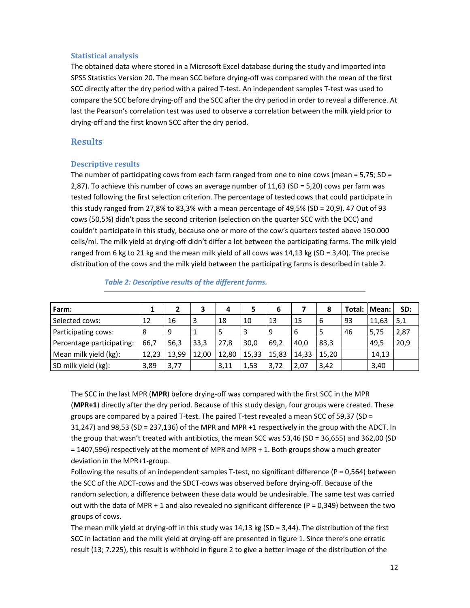## Statistical analysis

The obtained data where stored in a Microsoft Excel database during the study and imported into SPSS Statistics Version 20. The mean SCC before drying-off was compared with the mean of the first SCC directly after the dry period with a paired T-test. An independent samples T-test was used to compare the SCC before drying-off and the SCC after the dry period in order to reveal a difference. At last the Pearson's correlation test was used to observe a correlation between the milk yield prior to drying-off and the first known SCC after the dry period.

## **Results**

#### Descriptive results

The number of participating cows from each farm ranged from one to nine cows (mean =  $5.75$ ; SD = 2,87). To achieve this number of cows an average number of 11,63 (SD = 5,20) cows per farm was tested following the first selection criterion. The percentage of tested cows that could participate in this study ranged from 27,8% to 83,3% with a mean percentage of 49,5% (SD = 20,9). 47 Out of 93 cows (50,5%) didn't pass the second criterion (selection on the quarter SCC with the DCC) and couldn't participate in this study, because one or more of the cow's quarters tested above 150.000 cells/ml. The milk yield at drying-off didn't differ a lot between the participating farms. The milk yield ranged from 6 kg to 21 kg and the mean milk yield of all cows was  $14,13$  kg (SD = 3,40). The precise distribution of the cows and the milk yield between the participating farms is described in table 2.

| Farm:                     |       |       |       |       |       | 6     |       | 8     |    | Total:   Mean: | SD:  |
|---------------------------|-------|-------|-------|-------|-------|-------|-------|-------|----|----------------|------|
| Selected cows:            | 12    | 16    | 3     | 18    | 10    | 13    | 15    | 6     | 93 | 11,63          | 5,1  |
| Participating cows:       | 8     | 9     |       | 5     | э     | 9     | -6    | 5     | 46 | 5,75           | 2,87 |
| Percentage participating: | 66,7  | 56,3  | 33,3  | 27,8  | 30.0  | 69.2  | 40.0  | 83,3  |    | 49,5           | 20,9 |
| Mean milk yield (kg):     | 12,23 | 13,99 | 12.00 | 12,80 | 15,33 | 15,83 | 14.33 | 15,20 |    | 14,13          |      |
| SD milk yield (kg):       | 3,89  | 3,77  |       | 3,11  | 1,53  | 3,72  | 2,07  | 3,42  |    | 3,40           |      |

Table 2: Descriptive results of the different farms.

The SCC in the last MPR (MPR) before drying-off was compared with the first SCC in the MPR (MPR+1) directly after the dry period. Because of this study design, four groups were created. These groups are compared by a paired T-test. The paired T-test revealed a mean SCC of 59,37 (SD = 31,247) and 98,53 (SD = 237,136) of the MPR and MPR +1 respectively in the group with the ADCT. In the group that wasn't treated with antibiotics, the mean SCC was 53,46 (SD = 36,655) and 362,00 (SD = 1407,596) respectively at the moment of MPR and MPR + 1. Both groups show a much greater deviation in the MPR+1-group.

Following the results of an independent samples T-test, no significant difference ( $P = 0.564$ ) between the SCC of the ADCT-cows and the SDCT-cows was observed before drying-off. Because of the random selection, a difference between these data would be undesirable. The same test was carried out with the data of MPR + 1 and also revealed no significant difference ( $P = 0.349$ ) between the two groups of cows.

The mean milk yield at drying-off in this study was 14,13 kg (SD = 3,44). The distribution of the first SCC in lactation and the milk yield at drying-off are presented in figure 1. Since there's one erratic result (13; 7.225), this result is withhold in figure 2 to give a better image of the distribution of the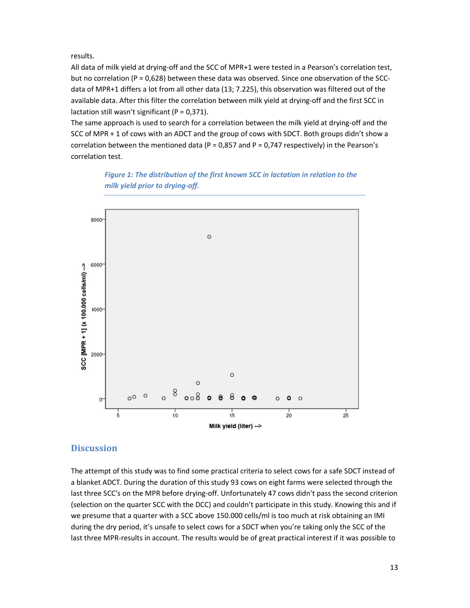results.

All data of milk yield at drying-off and the SCC of MPR+1 were tested in a Pearson's correlation test, but no correlation ( $P = 0.628$ ) between these data was observed. Since one observation of the SCCdata of MPR+1 differs a lot from all other data (13; 7.225), this observation was filtered out of the available data. After this filter the correlation between milk yield at drying-off and the first SCC in lactation still wasn't significant ( $P = 0.371$ ).

The same approach is used to search for a correlation between the milk yield at drying-off and the SCC of MPR + 1 of cows with an ADCT and the group of cows with SDCT. Both groups didn't show a correlation between the mentioned data (P = 0,857 and P = 0,747 respectively) in the Pearson's correlation test.

> Figure 1: The distribution of the first known SCC in lactation in relation to the milk yield prior to drying-off.



# **Discussion**

The attempt of this study was to find some practical criteria to select cows for a safe SDCT instead of a blanket ADCT. During the duration of this study 93 cows on eight farms were selected through the last three SCC's on the MPR before drying-off. Unfortunately 47 cows didn't pass the second criterion (selection on the quarter SCC with the DCC) and couldn't participate in this study. Knowing this and if we presume that a quarter with a SCC above 150.000 cells/ml is too much at risk obtaining an IMI during the dry period, it's unsafe to select cows for a SDCT when you're taking only the SCC of the last three MPR-results in account. The results would be of great practical interest if it was possible to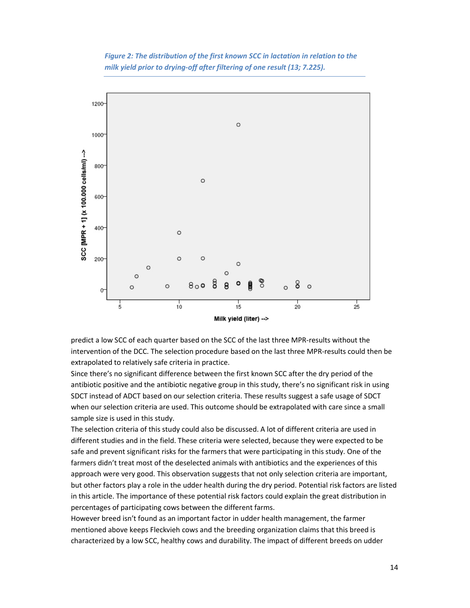Figure 2: The distribution of the first known SCC in lactation in relation to the milk yield prior to drying-off after filtering of one result (13; 7.225).



predict a low SCC of each quarter based on the SCC of the last three MPR-results without the intervention of the DCC. The selection procedure based on the last three MPR-results could then be extrapolated to relatively safe criteria in practice.

Since there's no significant difference between the first known SCC after the dry period of the antibiotic positive and the antibiotic negative group in this study, there's no significant risk in using SDCT instead of ADCT based on our selection criteria. These results suggest a safe usage of SDCT when our selection criteria are used. This outcome should be extrapolated with care since a small sample size is used in this study.

The selection criteria of this study could also be discussed. A lot of different criteria are used in different studies and in the field. These criteria were selected, because they were expected to be safe and prevent significant risks for the farmers that were participating in this study. One of the farmers didn't treat most of the deselected animals with antibiotics and the experiences of this approach were very good. This observation suggests that not only selection criteria are important, but other factors play a role in the udder health during the dry period. Potential risk factors are listed in this article. The importance of these potential risk factors could explain the great distribution in percentages of participating cows between the different farms.

However breed isn't found as an important factor in udder health management, the farmer mentioned above keeps Fleckvieh cows and the breeding organization claims that this breed is characterized by a low SCC, healthy cows and durability. The impact of different breeds on udder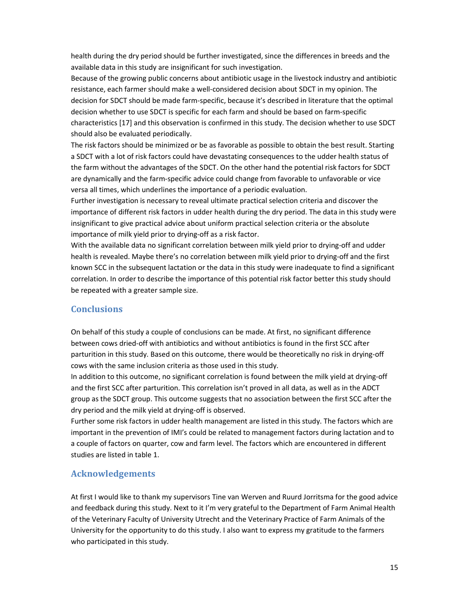health during the dry period should be further investigated, since the differences in breeds and the available data in this study are insignificant for such investigation.

Because of the growing public concerns about antibiotic usage in the livestock industry and antibiotic resistance, each farmer should make a well-considered decision about SDCT in my opinion. The decision for SDCT should be made farm-specific, because it's described in literature that the optimal decision whether to use SDCT is specific for each farm and should be based on farm-specific characteristics [17] and this observation is confirmed in this study. The decision whether to use SDCT should also be evaluated periodically.

The risk factors should be minimized or be as favorable as possible to obtain the best result. Starting a SDCT with a lot of risk factors could have devastating consequences to the udder health status of the farm without the advantages of the SDCT. On the other hand the potential risk factors for SDCT are dynamically and the farm-specific advice could change from favorable to unfavorable or vice versa all times, which underlines the importance of a periodic evaluation.

Further investigation is necessary to reveal ultimate practical selection criteria and discover the importance of different risk factors in udder health during the dry period. The data in this study were insignificant to give practical advice about uniform practical selection criteria or the absolute importance of milk yield prior to drying-off as a risk factor.

With the available data no significant correlation between milk yield prior to drying-off and udder health is revealed. Maybe there's no correlation between milk yield prior to drying-off and the first known SCC in the subsequent lactation or the data in this study were inadequate to find a significant correlation. In order to describe the importance of this potential risk factor better this study should be repeated with a greater sample size.

# **Conclusions**

On behalf of this study a couple of conclusions can be made. At first, no significant difference between cows dried-off with antibiotics and without antibiotics is found in the first SCC after parturition in this study. Based on this outcome, there would be theoretically no risk in drying-off cows with the same inclusion criteria as those used in this study.

In addition to this outcome, no significant correlation is found between the milk yield at drying-off and the first SCC after parturition. This correlation isn't proved in all data, as well as in the ADCT group as the SDCT group. This outcome suggests that no association between the first SCC after the dry period and the milk yield at drying-off is observed.

Further some risk factors in udder health management are listed in this study. The factors which are important in the prevention of IMI's could be related to management factors during lactation and to a couple of factors on quarter, cow and farm level. The factors which are encountered in different studies are listed in table 1.

# Acknowledgements

At first I would like to thank my supervisors Tine van Werven and Ruurd Jorritsma for the good advice and feedback during this study. Next to it I'm very grateful to the Department of Farm Animal Health of the Veterinary Faculty of University Utrecht and the Veterinary Practice of Farm Animals of the University for the opportunity to do this study. I also want to express my gratitude to the farmers who participated in this study.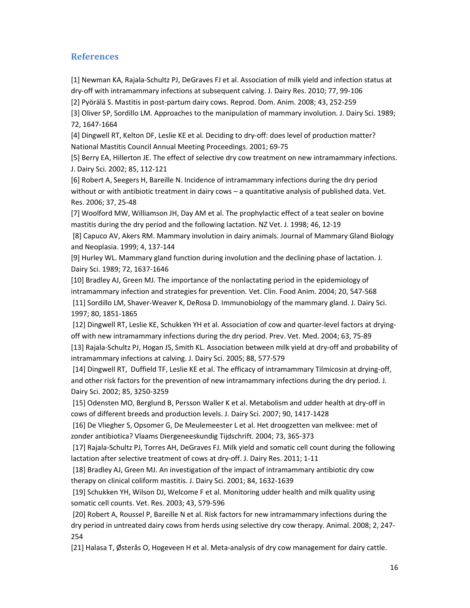# References

[1] Newman KA, Rajala-Schultz PJ, DeGraves FJ et al. Association of milk yield and infection status at dry-off with intramammary infections at subsequent calving. J. Dairy Res. 2010; 77, 99-106

[2] Pyörälä S. Mastitis in post-partum dairy cows. Reprod. Dom. Anim. 2008; 43, 252-259

[3] Oliver SP, Sordillo LM. Approaches to the manipulation of mammary involution. J. Dairy Sci. 1989; 72, 1647-1664

[4] Dingwell RT, Kelton DF, Leslie KE et al. Deciding to dry-off: does level of production matter? National Mastitis Council Annual Meeting Proceedings. 2001; 69-75

[5] Berry EA, Hillerton JE. The effect of selective dry cow treatment on new intramammary infections. J. Dairy Sci. 2002; 85, 112-121

[6] Robert A, Seegers H, Bareille N. Incidence of intramammary infections during the dry period without or with antibiotic treatment in dairy cows – a quantitative analysis of published data. Vet. Res. 2006; 37, 25-48

[7] Woolford MW, Williamson JH, Day AM et al. The prophylactic effect of a teat sealer on bovine mastitis during the dry period and the following lactation. NZ Vet. J. 1998; 46, 12-19

 [8] Capuco AV, Akers RM. Mammary involution in dairy animals. Journal of Mammary Gland Biology and Neoplasia. 1999; 4, 137-144

[9] Hurley WL. Mammary gland function during involution and the declining phase of lactation. J. Dairy Sci. 1989; 72, 1637-1646

[10] Bradley AJ, Green MJ. The importance of the nonlactating period in the epidemiology of intramammary infection and strategies for prevention. Vet. Clin. Food Anim. 2004; 20, 547-568 [11] Sordillo LM, Shaver-Weaver K, DeRosa D. Immunobiology of the mammary gland. J. Dairy Sci. 1997; 80, 1851-1865

 [12] Dingwell RT, Leslie KE, Schukken YH et al. Association of cow and quarter-level factors at dryingoff with new intramammary infections during the dry period. Prev. Vet. Med. 2004; 63, 75-89

[13] Rajala-Schultz PJ, Hogan JS, Smith KL. Association between milk yield at dry-off and probability of intramammary infections at calving. J. Dairy Sci. 2005; 88, 577-579

 [14] Dingwell RT, Duffield TF, Leslie KE et al. The efficacy of intramammary Tilmicosin at drying-off, and other risk factors for the prevention of new intramammary infections during the dry period. J. Dairy Sci. 2002; 85, 3250-3259

 [15] Odensten MO, Berglund B, Persson Waller K et al. Metabolism and udder health at dry-off in cows of different breeds and production levels. J. Dairy Sci. 2007; 90, 1417-1428

 [16] De Vliegher S, Opsomer G, De Meulemeester L et al. Het droogzetten van melkvee: met of zonder antibiotica? Vlaams Diergeneeskundig Tijdschrift. 2004; 73, 365-373

 [17] Rajala-Schultz PJ, Torres AH, DeGraves FJ. Milk yield and somatic cell count during the following lactation after selective treatment of cows at dry-off. J. Dairy Res. 2011; 1-11

 [18] Bradley AJ, Green MJ. An investigation of the impact of intramammary antibiotic dry cow therapy on clinical coliform mastitis. J. Dairy Sci. 2001; 84, 1632-1639

 [19] Schukken YH, Wilson DJ, Welcome F et al. Monitoring udder health and milk quality using somatic cell counts. Vet. Res. 2003; 43, 579-596

 [20] Robert A, Roussel P, Bareille N et al. Risk factors for new intramammary infections during the dry period in untreated dairy cows from herds using selective dry cow therapy. Animal. 2008; 2, 247- 254

[21] Halasa T, Østerås O, Hogeveen H et al. Meta-analysis of dry cow management for dairy cattle.